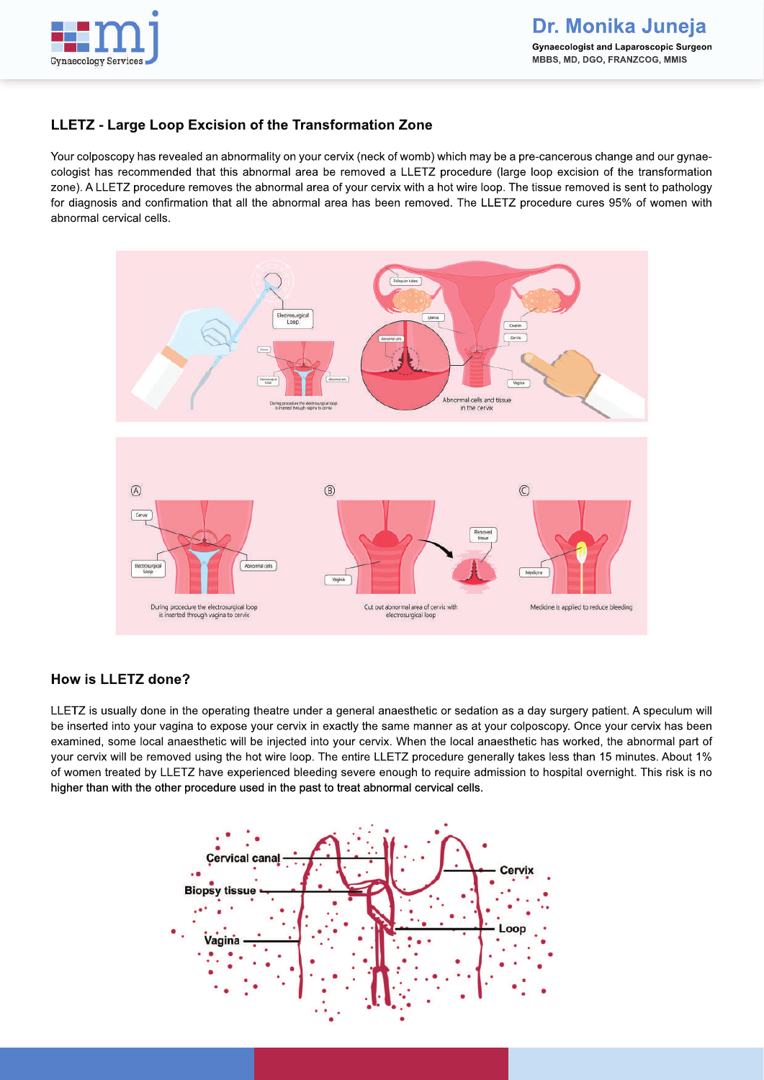

# **LLETZ - Large Loop Excision of the Transformation Zone**

Your colposcopy has revealed an abnormality on your cervix (neck of womb) which may be a pre-cancerous change and our gynaecologist has recommended that this abnormal area be removed a LLETZ procedure (large loop excision of the transformation zone). A LLETZ procedure removes the abnormal area of your cervix with a hot wire loop. The tissue removed is sent to pathology for diagnosis and confirmation that all the abnormal area has been removed. The LLETZ procedure cures 95% of women with abnormal cervical cells.



# **How is LLETZ done?**

LLETZ is usually done in the operating theatre under a general anaesthetic or sedation as a day surgery patient. A speculum will be inserted into your vagina to expose your cervix in exactly the same manner as at your colposcopy. Once your cervix has been examined, some local anaesthetic will be injected into your cervix. When the local anaesthetic has worked, the abnormal part of your cervix will be removed using the hot wire loop. The entire LLETZ procedure generally takes less than 15 minutes. About 1% of women treated by LLETZ have experienced bleeding severe enough to require admission to hospital overnight. This risk is no higher than with the other procedure used in the past to treat abnormal cervical cells.